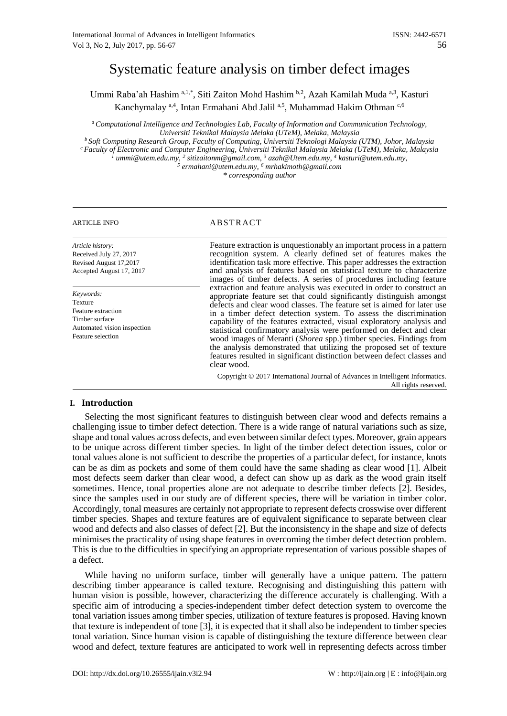# Systematic feature analysis on timber defect images

Ummi Raba'ah Hashim a,1,\*, Siti Zaiton Mohd Hashim b,2, Azah Kamilah Muda a,3, Kasturi Kanchymalay <sup>a, 4</sup>, Intan Ermahani Abd Jalil <sup>a, 5</sup>, Muhammad Hakim Othman <sup>c, 6</sup>

*<sup>a</sup>Computational Intelligence and Technologies Lab, Faculty of Information and Communication Technology, Universiti Teknikal Malaysia Melaka (UTeM), Melaka, Malaysia*

*<sup>b</sup>Soft Computing Research Group, Faculty of Computing, Universiti Teknologi Malaysia (UTM), Johor, Malaysia <sup>c</sup>Faculty of Electronic and Computer Engineering, Universiti Teknikal Malaysia Melaka (UTeM), Melaka, Malaysia <sup>1</sup> ummi@utem.edu.my, <sup>2</sup> sitizaitonm@gmail.com, <sup>3</sup> azah@Utem.edu.my, 4 kasturi@utem.edu.my, 5 ermahani@utem.edu.my, <sup>6</sup> mrhakimoth@gmail.com*

*\* corresponding author*

# ARTICLE INFO ABSTRACT

*Article history:* Received July 27, 2017 Revised August 17,2017 Accepted August 17, 2017

*Keywords:* Texture Feature extraction Timber surface Automated vision inspection Feature selection

Feature extraction is unquestionably an important process in a pattern recognition system. A clearly defined set of features makes the identification task more effective. This paper addresses the extraction and analysis of features based on statistical texture to characterize images of timber defects. A series of procedures including feature extraction and feature analysis was executed in order to construct an appropriate feature set that could significantly distinguish amongst defects and clear wood classes. The feature set is aimed for later use in a timber defect detection system. To assess the discrimination capability of the features extracted, visual exploratory analysis and statistical confirmatory analysis were performed on defect and clear wood images of Meranti (*Shorea* spp.) timber species. Findings from the analysis demonstrated that utilizing the proposed set of texture features resulted in significant distinction between defect classes and clear wood.

Copyright © 2017 International Journal of Advances in Intelligent Informatics. All rights reserved.

## **I. Introduction**

Selecting the most significant features to distinguish between clear wood and defects remains a challenging issue to timber defect detection. There is a wide range of natural variations such as size, shape and tonal values across defects, and even between similar defect types. Moreover, grain appears to be unique across different timber species. In light of the timber defect detection issues, color or tonal values alone is not sufficient to describe the properties of a particular defect, for instance, knots can be as dim as pockets and some of them could have the same shading as clear wood [1]. Albeit most defects seem darker than clear wood, a defect can show up as dark as the wood grain itself sometimes. Hence, tonal properties alone are not adequate to describe timber defects [2]. Besides, since the samples used in our study are of different species, there will be variation in timber color. Accordingly, tonal measures are certainly not appropriate to represent defects crosswise over different timber species. Shapes and texture features are of equivalent significance to separate between clear wood and defects and also classes of defect [2]. But the inconsistency in the shape and size of defects minimises the practicality of using shape features in overcoming the timber defect detection problem. This is due to the difficulties in specifying an appropriate representation of various possible shapes of a defect.

While having no uniform surface, timber will generally have a unique pattern. The pattern describing timber appearance is called texture. Recognising and distinguishing this pattern with human vision is possible, however, characterizing the difference accurately is challenging. With a specific aim of introducing a species-independent timber defect detection system to overcome the tonal variation issues among timber species, utilization of texture features is proposed. Having known that texture is independent of tone [3], it is expected that it shall also be independent to timber species tonal variation. Since human vision is capable of distinguishing the texture difference between clear wood and defect, texture features are anticipated to work well in representing defects across timber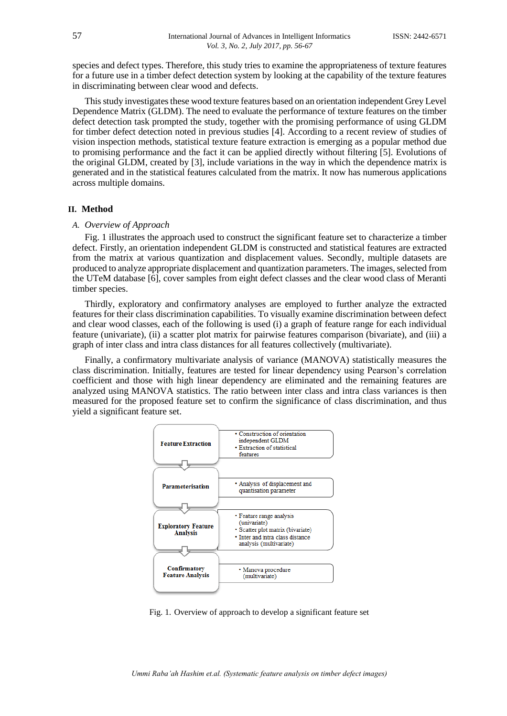species and defect types. Therefore, this study tries to examine the appropriateness of texture features for a future use in a timber defect detection system by looking at the capability of the texture features in discriminating between clear wood and defects.

This study investigates these wood texture features based on an orientation independent Grey Level Dependence Matrix (GLDM). The need to evaluate the performance of texture features on the timber defect detection task prompted the study, together with the promising performance of using GLDM for timber defect detection noted in previous studies [4]. According to a recent review of studies of vision inspection methods, statistical texture feature extraction is emerging as a popular method due to promising performance and the fact it can be applied directly without filtering [5]. Evolutions of the original GLDM, created by [3], include variations in the way in which the dependence matrix is generated and in the statistical features calculated from the matrix. It now has numerous applications across multiple domains.

#### **II. Method**

#### *A. Overview of Approach*

Fig. 1 illustrates the approach used to construct the significant feature set to characterize a timber defect. Firstly, an orientation independent GLDM is constructed and statistical features are extracted from the matrix at various quantization and displacement values. Secondly, multiple datasets are produced to analyze appropriate displacement and quantization parameters. The images, selected from the UTeM database [6], cover samples from eight defect classes and the clear wood class of Meranti timber species.

Thirdly, exploratory and confirmatory analyses are employed to further analyze the extracted features for their class discrimination capabilities. To visually examine discrimination between defect and clear wood classes, each of the following is used (i) a graph of feature range for each individual feature (univariate), (ii) a scatter plot matrix for pairwise features comparison (bivariate), and (iii) a graph of inter class and intra class distances for all features collectively (multivariate).

Finally, a confirmatory multivariate analysis of variance (MANOVA) statistically measures the class discrimination. Initially, features are tested for linear dependency using Pearson's correlation coefficient and those with high linear dependency are eliminated and the remaining features are analyzed using MANOVA statistics. The ratio between inter class and intra class variances is then measured for the proposed feature set to confirm the significance of class discrimination, and thus yield a significant feature set.



Fig. 1. Overview of approach to develop a significant feature set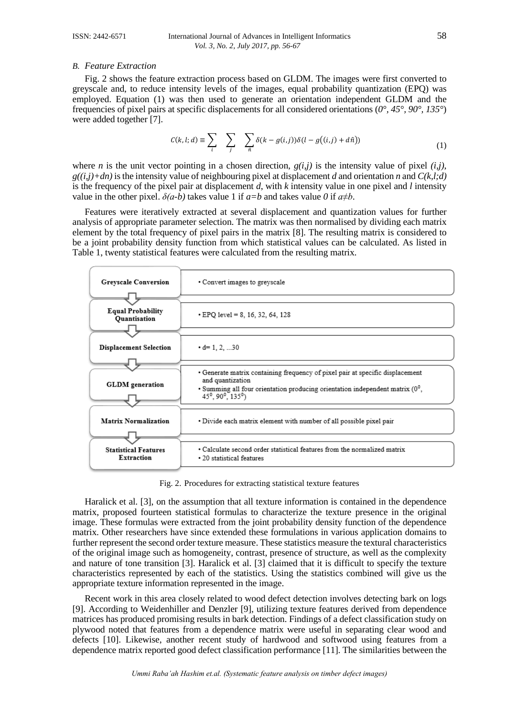#### *B. Feature Extraction*

Fig. 2 shows the feature extraction process based on GLDM. The images were first converted to greyscale and, to reduce intensity levels of the images, equal probability quantization (EPQ) was employed. Equation (1) was then used to generate an orientation independent GLDM and the frequencies of pixel pairs at specific displacements for all considered orientations (*0°, 45°, 90°, 135°*) were added together [7].

$$
C(k, l; d) \equiv \sum_{i} \sum_{j} \sum_{\hat{n}} \delta(k - g(i, j)) \delta(l - g((i, j) + d\hat{n})) \tag{1}
$$

where *n* is the unit vector pointing in a chosen direction,  $g(i,j)$  is the intensity value of pixel  $(i,j)$ ,  $g((i,j)+dn)$  is the intensity value of neighbouring pixel at displacement *d* and orientation *n* and  $C(k,l;d)$ is the frequency of the pixel pair at displacement *d*, with *k* intensity value in one pixel and *l* intensity value in the other pixel.  $\delta(a-b)$  takes value 1 if  $a=b$  and takes value 0 if  $a \neq b$ .

Features were iteratively extracted at several displacement and quantization values for further analysis of appropriate parameter selection. The matrix was then normalised by dividing each matrix element by the total frequency of pixel pairs in the matrix [8]. The resulting matrix is considered to be a joint probability density function from which statistical values can be calculated. As listed in Table 1, twenty statistical features were calculated from the resulting matrix.

| <b>Greyscale Conversion</b>               | • Convert images to greyscale                                                                                                                                                                                                                  |
|-------------------------------------------|------------------------------------------------------------------------------------------------------------------------------------------------------------------------------------------------------------------------------------------------|
| <b>Equal Probability</b><br>Quantisation  | $\cdot$ EPO level = 8, 16, 32, 64, 128                                                                                                                                                                                                         |
| <b>Displacement Selection</b>             | $\cdot$ d= 1, 2, 30                                                                                                                                                                                                                            |
| <b>GLDM</b> generation                    | • Generate matrix containing frequency of pixel pair at specific displacement<br>and quantization<br>• Summing all four orientation producing orientation independent matrix $(0^0,$<br>45 <sup>°</sup> , 90 <sup>°</sup> , 135 <sup>°</sup> ) |
| <b>Matrix Normalization</b>               | . Divide each matrix element with number of all possible pixel pair                                                                                                                                                                            |
| <b>Statistical Features</b><br>Extraction | • Calculate second order statistical features from the normalized matrix<br>• 20 statistical features                                                                                                                                          |

Fig. 2. Procedures for extracting statistical texture features

Haralick et al. [3], on the assumption that all texture information is contained in the dependence matrix, proposed fourteen statistical formulas to characterize the texture presence in the original image. These formulas were extracted from the joint probability density function of the dependence matrix. Other researchers have since extended these formulations in various application domains to further represent the second order texture measure. These statistics measure the textural characteristics of the original image such as homogeneity, contrast, presence of structure, as well as the complexity and nature of tone transition [3]. Haralick et al. [3] claimed that it is difficult to specify the texture characteristics represented by each of the statistics. Using the statistics combined will give us the appropriate texture information represented in the image.

Recent work in this area closely related to wood defect detection involves detecting bark on logs [9]. According to Weidenhiller and Denzler [9], utilizing texture features derived from dependence matrices has produced promising results in bark detection. Findings of a defect classification study on plywood noted that features from a dependence matrix were useful in separating clear wood and defects [10]. Likewise, another recent study of hardwood and softwood using features from a dependence matrix reported good defect classification performance [11]. The similarities between the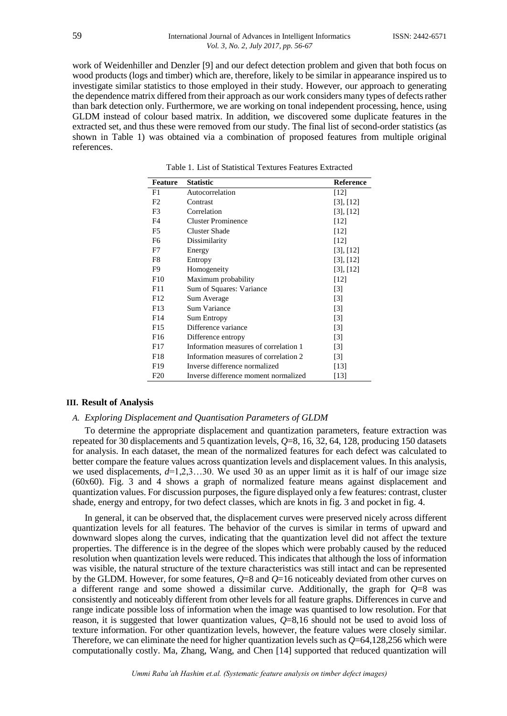work of Weidenhiller and Denzler [9] and our defect detection problem and given that both focus on wood products (logs and timber) which are, therefore, likely to be similar in appearance inspired us to investigate similar statistics to those employed in their study. However, our approach to generating the dependence matrix differed from their approach as our work considers many types of defects rather than bark detection only. Furthermore, we are working on tonal independent processing, hence, using GLDM instead of colour based matrix. In addition, we discovered some duplicate features in the extracted set, and thus these were removed from our study. The final list of second-order statistics (as shown in Table 1) was obtained via a combination of proposed features from multiple original references.

| <b>Feature</b>  | <b>Statistic</b>                      | <b>Reference</b>  |
|-----------------|---------------------------------------|-------------------|
| F1              | Autocorrelation                       | [12]              |
| F2              | Contrast                              | [3], [12]         |
| F3              | Correlation                           | [3], [12]         |
| F <sub>4</sub>  | <b>Cluster Prominence</b>             | [12]              |
| F5              | <b>Cluster Shade</b>                  | [12]              |
| F <sub>6</sub>  | Dissimilarity                         | [12]              |
| F7              | Energy                                | [3], [12]         |
| F8              | Entropy                               | [3], [12]         |
| F9              | Homogeneity                           | [3], [12]         |
| F10             | Maximum probability                   | [12]              |
| F11             | Sum of Squares: Variance              | $\lceil 3 \rceil$ |
| F12             | Sum Average                           | $\lceil 3 \rceil$ |
| F <sub>13</sub> | Sum Variance                          | $\lceil 3 \rceil$ |
| F <sub>14</sub> | <b>Sum Entropy</b>                    | $[3]$             |
| F <sub>15</sub> | Difference variance                   | $\lceil 3 \rceil$ |
| F <sub>16</sub> | Difference entropy                    | $\lceil 3 \rceil$ |
| F17             | Information measures of correlation 1 | $[3]$             |
| F18             | Information measures of correlation 2 | $[3]$             |
| F <sub>19</sub> | Inverse difference normalized         | [13]              |
| F20             | Inverse difference moment normalized  | [13]              |

Table 1. List of Statistical Textures Features Extracted

#### **III. Result of Analysis**

### *A. Exploring Displacement and Quantisation Parameters of GLDM*

To determine the appropriate displacement and quantization parameters, feature extraction was repeated for 30 displacements and 5 quantization levels, *Q*=8, 16, 32, 64, 128, producing 150 datasets for analysis. In each dataset, the mean of the normalized features for each defect was calculated to better compare the feature values across quantization levels and displacement values. In this analysis, we used displacements, *d*=1,2,3…30. We used 30 as an upper limit as it is half of our image size (60x60). Fig. 3 and 4 shows a graph of normalized feature means against displacement and quantization values. For discussion purposes, the figure displayed only a few features: contrast, cluster shade, energy and entropy, for two defect classes, which are knots in fig. 3 and pocket in fig. 4.

In general, it can be observed that, the displacement curves were preserved nicely across different quantization levels for all features. The behavior of the curves is similar in terms of upward and downward slopes along the curves, indicating that the quantization level did not affect the texture properties. The difference is in the degree of the slopes which were probably caused by the reduced resolution when quantization levels were reduced. This indicates that although the loss of information was visible, the natural structure of the texture characteristics was still intact and can be represented by the GLDM. However, for some features, *Q*=8 and *Q*=16 noticeably deviated from other curves on a different range and some showed a dissimilar curve. Additionally, the graph for  $Q=8$  was consistently and noticeably different from other levels for all feature graphs. Differences in curve and range indicate possible loss of information when the image was quantised to low resolution. For that reason, it is suggested that lower quantization values, *Q*=8,16 should not be used to avoid loss of texture information. For other quantization levels, however, the feature values were closely similar. Therefore, we can eliminate the need for higher quantization levels such as *Q*=64,128,256 which were computationally costly. Ma, Zhang, Wang, and Chen [14] supported that reduced quantization will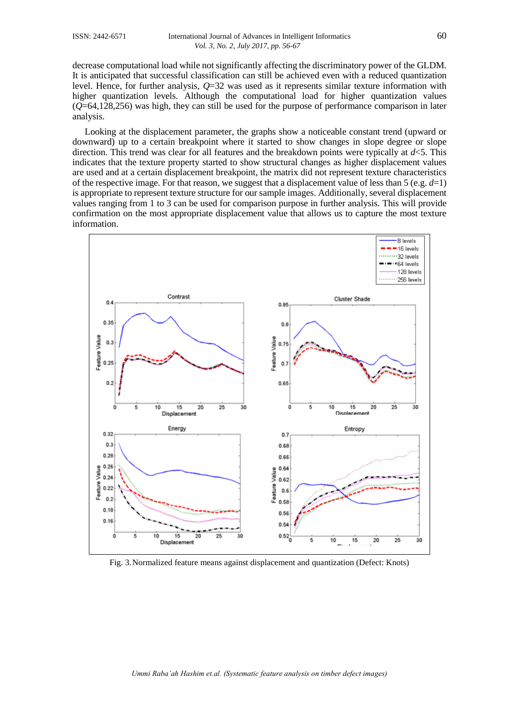decrease computational load while not significantly affecting the discriminatory power of the GLDM. It is anticipated that successful classification can still be achieved even with a reduced quantization level. Hence, for further analysis, *Q*=32 was used as it represents similar texture information with higher quantization levels. Although the computational load for higher quantization values (*Q*=64,128,256) was high, they can still be used for the purpose of performance comparison in later analysis.

Looking at the displacement parameter, the graphs show a noticeable constant trend (upward or downward) up to a certain breakpoint where it started to show changes in slope degree or slope direction. This trend was clear for all features and the breakdown points were typically at *d*<5. This indicates that the texture property started to show structural changes as higher displacement values are used and at a certain displacement breakpoint, the matrix did not represent texture characteristics of the respective image. For that reason, we suggest that a displacement value of less than 5 (e.g.  $d=1$ ) is appropriate to represent texture structure for our sample images. Additionally, several displacement values ranging from 1 to 3 can be used for comparison purpose in further analysis. This will provide confirmation on the most appropriate displacement value that allows us to capture the most texture information.



Fig. 3.Normalized feature means against displacement and quantization (Defect: Knots)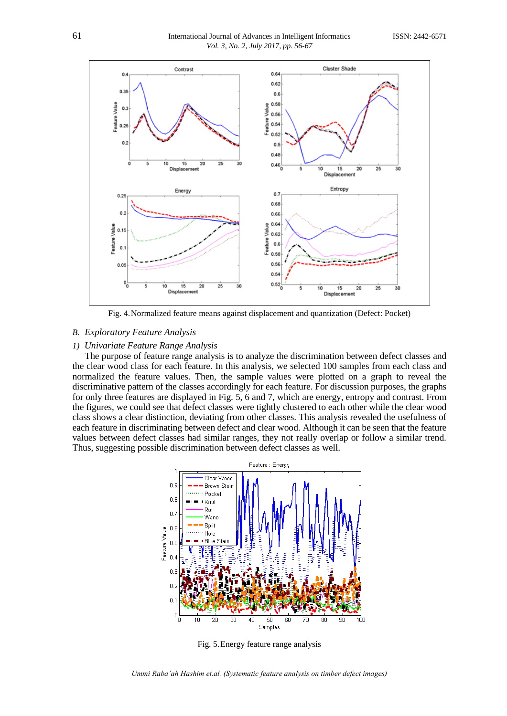

Fig. 4.Normalized feature means against displacement and quantization (Defect: Pocket)

# *B. Exploratory Feature Analysis*

#### *1) Univariate Feature Range Analysis*

The purpose of feature range analysis is to analyze the discrimination between defect classes and the clear wood class for each feature. In this analysis, we selected 100 samples from each class and normalized the feature values. Then, the sample values were plotted on a graph to reveal the discriminative pattern of the classes accordingly for each feature. For discussion purposes, the graphs for only three features are displayed in Fig. 5, 6 and 7, which are energy, entropy and contrast. From the figures, we could see that defect classes were tightly clustered to each other while the clear wood class shows a clear distinction, deviating from other classes. This analysis revealed the usefulness of each feature in discriminating between defect and clear wood. Although it can be seen that the feature values between defect classes had similar ranges, they not really overlap or follow a similar trend. Thus, suggesting possible discrimination between defect classes as well.



Fig. 5.Energy feature range analysis

*Ummi Raba'ah Hashim et.al. (Systematic feature analysis on timber defect images)*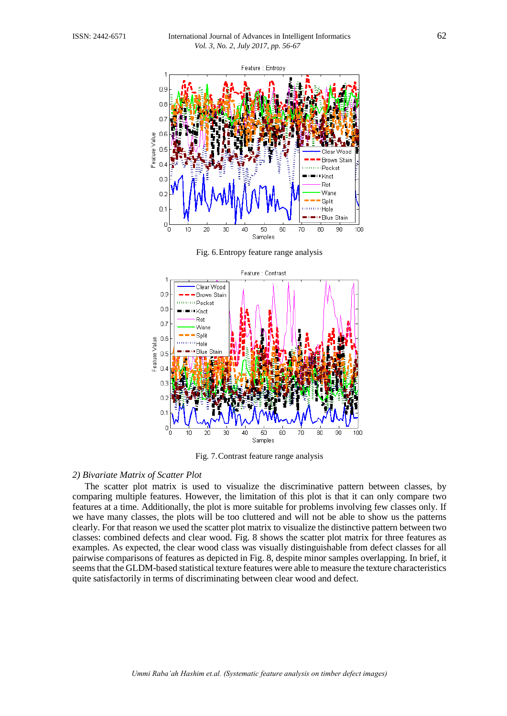

Fig. 6.Entropy feature range analysis



Fig. 7.Contrast feature range analysis

### *2) Bivariate Matrix of Scatter Plot*

The scatter plot matrix is used to visualize the discriminative pattern between classes, by comparing multiple features. However, the limitation of this plot is that it can only compare two features at a time. Additionally, the plot is more suitable for problems involving few classes only. If we have many classes, the plots will be too cluttered and will not be able to show us the patterns clearly. For that reason we used the scatter plot matrix to visualize the distinctive pattern between two classes: combined defects and clear wood. Fig. 8 shows the scatter plot matrix for three features as examples. As expected, the clear wood class was visually distinguishable from defect classes for all pairwise comparisons of features as depicted in Fig. 8, despite minor samples overlapping. In brief, it seems that the GLDM-based statistical texture features were able to measure the texture characteristics quite satisfactorily in terms of discriminating between clear wood and defect.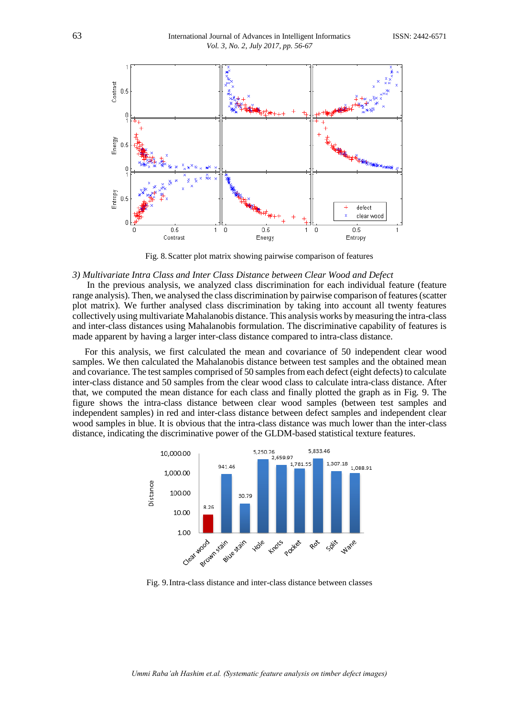

Fig. 8.Scatter plot matrix showing pairwise comparison of features

#### *3) Multivariate Intra Class and Inter Class Distance between Clear Wood and Defect*

In the previous analysis, we analyzed class discrimination for each individual feature (feature range analysis). Then, we analysed the class discrimination by pairwise comparison of features (scatter plot matrix). We further analysed class discrimination by taking into account all twenty features collectively using multivariate Mahalanobis distance. This analysis works by measuring the intra-class and inter-class distances using Mahalanobis formulation. The discriminative capability of features is made apparent by having a larger inter-class distance compared to intra-class distance.

For this analysis, we first calculated the mean and covariance of 50 independent clear wood samples. We then calculated the Mahalanobis distance between test samples and the obtained mean and covariance. The test samples comprised of 50 samples from each defect (eight defects) to calculate inter-class distance and 50 samples from the clear wood class to calculate intra-class distance. After that, we computed the mean distance for each class and finally plotted the graph as in Fig. 9. The figure shows the intra-class distance between clear wood samples (between test samples and independent samples) in red and inter-class distance between defect samples and independent clear wood samples in blue. It is obvious that the intra-class distance was much lower than the inter-class distance, indicating the discriminative power of the GLDM-based statistical texture features.



Fig. 9.Intra-class distance and inter-class distance between classes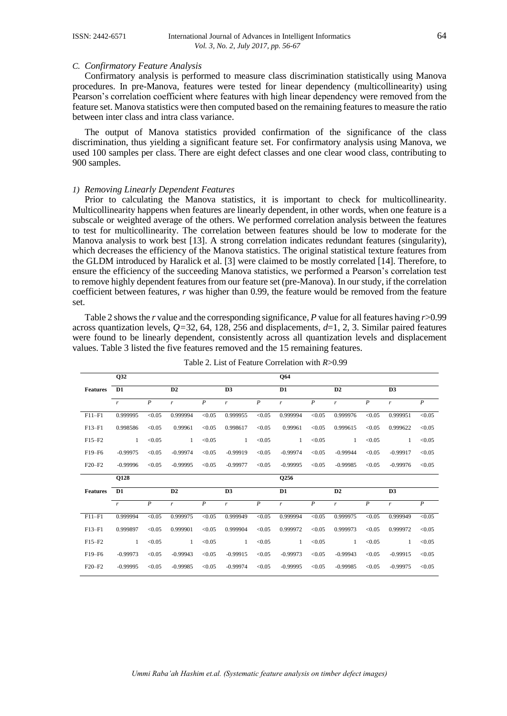#### *C. Confirmatory Feature Analysis*

Confirmatory analysis is performed to measure class discrimination statistically using Manova procedures. In pre-Manova, features were tested for linear dependency (multicollinearity) using Pearson's correlation coefficient where features with high linear dependency were removed from the feature set. Manova statistics were then computed based on the remaining features to measure the ratio between inter class and intra class variance.

The output of Manova statistics provided confirmation of the significance of the class discrimination, thus yielding a significant feature set. For confirmatory analysis using Manova, we used 100 samples per class. There are eight defect classes and one clear wood class, contributing to 900 samples.

### *1) Removing Linearly Dependent Features*

Prior to calculating the Manova statistics, it is important to check for multicollinearity. Multicollinearity happens when features are linearly dependent, in other words, when one feature is a subscale or weighted average of the others. We performed correlation analysis between the features to test for multicollinearity. The correlation between features should be low to moderate for the Manova analysis to work best [13]. A strong correlation indicates redundant features (singularity), which decreases the efficiency of the Manova statistics. The original statistical texture features from the GLDM introduced by Haralick et al. [3] were claimed to be mostly correlated [14]. Therefore, to ensure the efficiency of the succeeding Manova statistics, we performed a Pearson's correlation test to remove highly dependent features from our feature set (pre-Manova). In our study, if the correlation coefficient between features, *r* was higher than 0.99, the feature would be removed from the feature set.

Table 2 shows the *r* value and the corresponding significance, *P* value for all features having *r*>0.99 across quantization levels,  $Q=32$ , 64, 128, 256 and displacements,  $d=1, 2, 3$ . Similar paired features were found to be linearly dependent, consistently across all quantization levels and displacement values. Table 3 listed the five features removed and the 15 remaining features.

|                 | Q32            |                  |              |                  |                |                  | <b>O64</b>     |                  |              |                  |              |                  |
|-----------------|----------------|------------------|--------------|------------------|----------------|------------------|----------------|------------------|--------------|------------------|--------------|------------------|
| <b>Features</b> | D <sub>1</sub> |                  | D2           |                  | D <sub>3</sub> |                  | D1             |                  | D2           |                  | D3           |                  |
|                 | $\mathbf{r}$   | $\boldsymbol{P}$ | $\mathbf{r}$ | $\boldsymbol{P}$ | $\mathbf{r}$   | $\boldsymbol{P}$ | $\mathbf{r}$   | $\boldsymbol{P}$ | $\mathbf{r}$ | $\boldsymbol{P}$ | $\mathbf{r}$ | $\boldsymbol{P}$ |
| $F11-F1$        | 0.999995       | < 0.05           | 0.999994     | < 0.05           | 0.999955       | < 0.05           | 0.999994       | < 0.05           | 0.999976     | < 0.05           | 0.999951     | < 0.05           |
| $F13-F1$        | 0.998586       | < 0.05           | 0.99961      | < 0.05           | 0.998617       | < 0.05           | 0.99961        | < 0.05           | 0.999615     | < 0.05           | 0.999622     | < 0.05           |
| $F15-F2$        | $\mathbf{1}$   | < 0.05           | 1            | < 0.05           | 1              | < 0.05           | 1              | < 0.05           | 1            | < 0.05           | 1            | < 0.05           |
| F19-F6          | $-0.99975$     | < 0.05           | $-0.99974$   | < 0.05           | $-0.99919$     | < 0.05           | $-0.99974$     | < 0.05           | $-0.99944$   | < 0.05           | $-0.99917$   | < 0.05           |
| $F20-F2$        | $-0.99996$     | < 0.05           | $-0.99995$   | < 0.05           | $-0.99977$     | < 0.05           | $-0.99995$     | < 0.05           | $-0.99985$   | < 0.05           | $-0.99976$   | < 0.05           |
|                 |                |                  |              |                  |                |                  |                |                  |              |                  |              |                  |
|                 | Q128           |                  |              |                  |                |                  | Q256           |                  |              |                  |              |                  |
| <b>Features</b> | D <sub>1</sub> |                  | D2           |                  | D <sub>3</sub> |                  | D <sub>1</sub> |                  | D2           |                  | D3           |                  |
|                 | $\mathbf{r}$   | $\boldsymbol{P}$ | r            | $\boldsymbol{P}$ | r              | $\boldsymbol{P}$ | r              | $\boldsymbol{P}$ | r            | $\boldsymbol{P}$ | r            | $\boldsymbol{P}$ |
| $F11-F1$        | 0.999994       | < 0.05           | 0.999975     | < 0.05           | 0.999949       | < 0.05           | 0.999994       | < 0.05           | 0.999975     | < 0.05           | 0.999949     | < 0.05           |
| $F13-F1$        | 0.999897       | < 0.05           | 0.999901     | < 0.05           | 0.999904       | < 0.05           | 0.999972       | < 0.05           | 0.999973     | < 0.05           | 0.999972     | < 0.05           |
| $F15-F2$        | 1              | < 0.05           | 1            | < 0.05           | $\mathbf{1}$   | < 0.05           | 1              | < 0.05           | 1            | < 0.05           | 1            | < 0.05           |
| F19-F6          | $-0.99973$     | < 0.05           | $-0.99943$   | < 0.05           | $-0.99915$     | < 0.05           | $-0.99973$     | < 0.05           | $-0.99943$   | < 0.05           | $-0.99915$   | < 0.05           |

|  | Table 2. List of Feature Correlation with $R > 0.99$ |  |  |
|--|------------------------------------------------------|--|--|
|--|------------------------------------------------------|--|--|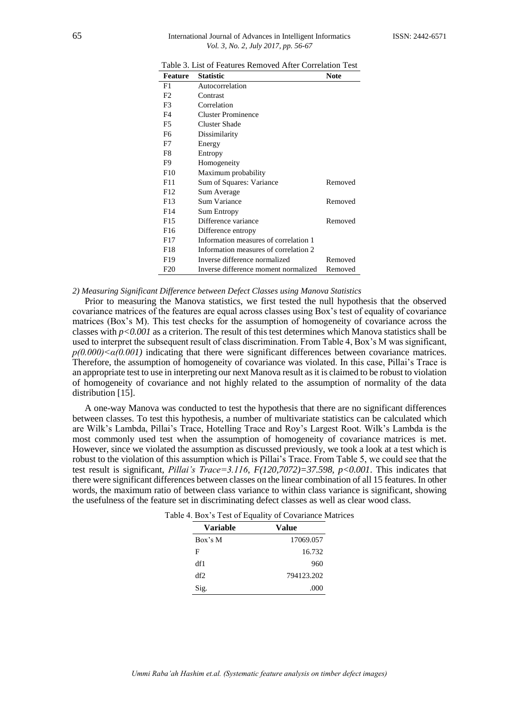### 65 International Journal of Advances in Intelligent InformaticsISSN: 2442-6571 *Vol. 3, No. 2, July 2017, pp. 56-67*

| Table 3. List of Features Removed After Correlation Test |  |
|----------------------------------------------------------|--|
|----------------------------------------------------------|--|

| Feature | <b>Statistic</b>                      | <b>Note</b> |
|---------|---------------------------------------|-------------|
| F1      | Autocorrelation                       |             |
| F2      | Contrast                              |             |
| F3      | Correlation                           |             |
| F4      | <b>Cluster Prominence</b>             |             |
| F5      | Cluster Shade                         |             |
| F6      | Dissimilarity                         |             |
| F7      | Energy                                |             |
| F8      | Entropy                               |             |
| F9      | Homogeneity                           |             |
| F10     | Maximum probability                   |             |
| F11     | Sum of Squares: Variance              | Removed     |
| F12     | Sum Average                           |             |
| F13     | <b>Sum Variance</b>                   | Removed     |
| F14     | Sum Entropy                           |             |
| F15     | Difference variance                   | Removed     |
| F16     | Difference entropy                    |             |
| F17     | Information measures of correlation 1 |             |
| F18     | Information measures of correlation 2 |             |
| F19     | Inverse difference normalized         | Removed     |
| F20     | Inverse difference moment normalized  | Removed     |

*2) Measuring Significant Difference between Defect Classes using Manova Statistics*

Prior to measuring the Manova statistics, we first tested the null hypothesis that the observed covariance matrices of the features are equal across classes using Box's test of equality of covariance matrices (Box's M). This test checks for the assumption of homogeneity of covariance across the classes with *p<0.001* as a criterion. The result of this test determines which Manova statistics shall be used to interpret the subsequent result of class discrimination. From Table 4, Box's M was significant,  $p(0.000) \leq \alpha(0.001)$  indicating that there were significant differences between covariance matrices. Therefore, the assumption of homogeneity of covariance was violated. In this case, Pillai's Trace is an appropriate test to use in interpreting our next Manova result as it is claimed to be robust to violation of homogeneity of covariance and not highly related to the assumption of normality of the data distribution [15].

A one-way Manova was conducted to test the hypothesis that there are no significant differences between classes. To test this hypothesis, a number of multivariate statistics can be calculated which are Wilk's Lambda, Pillai's Trace, Hotelling Trace and Roy's Largest Root. Wilk's Lambda is the most commonly used test when the assumption of homogeneity of covariance matrices is met. However, since we violated the assumption as discussed previously, we took a look at a test which is robust to the violation of this assumption which is Pillai's Trace. From Table 5, we could see that the test result is significant, *Pillai's Trace=3.116*, *F(120,7072)=37.598, p<0.001*. This indicates that there were significant differences between classes on the linear combination of all 15 features. In other words, the maximum ratio of between class variance to within class variance is significant, showing the usefulness of the feature set in discriminating defect classes as well as clear wood class.

| Table 4. Box's Test of Equality of Covariance Matrices |  |
|--------------------------------------------------------|--|
|--------------------------------------------------------|--|

| <b>Variable</b> | Value      |
|-----------------|------------|
| Box's M         | 17069.057  |
| F               | 16.732     |
| df1             | 960        |
| df2             | 794123.202 |
| Sig.            | .000       |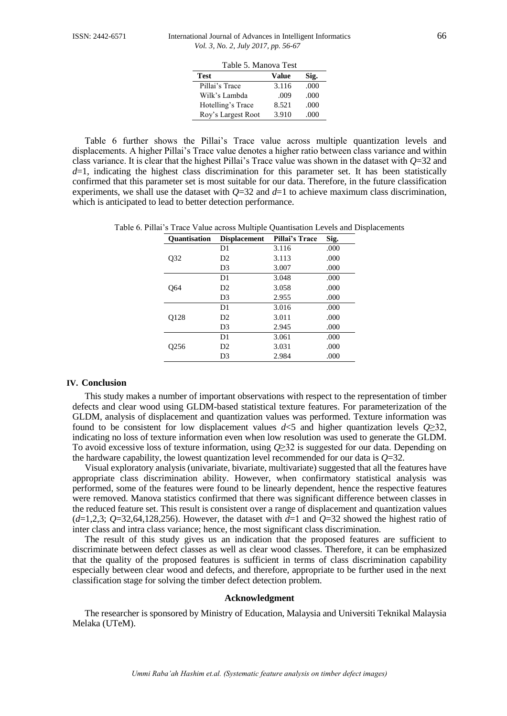| Table 5. Manova Test |       |      |  |  |
|----------------------|-------|------|--|--|
| Test                 | Value | Sig. |  |  |
| Pillai's Trace       | 3.116 | .000 |  |  |
| Wilk's Lambda        | .009  | .000 |  |  |
| Hotelling's Trace    | 8.521 | .000 |  |  |
| Roy's Largest Root   | 3.910 | .000 |  |  |

Table 6 further shows the Pillai's Trace value across multiple quantization levels and displacements. A higher Pillai's Trace value denotes a higher ratio between class variance and within class variance. It is clear that the highest Pillai's Trace value was shown in the dataset with *Q*=32 and  $d=1$ , indicating the highest class discrimination for this parameter set. It has been statistically confirmed that this parameter set is most suitable for our data. Therefore, in the future classification experiments, we shall use the dataset with  $Q=32$  and  $d=1$  to achieve maximum class discrimination, which is anticipated to lead to better detection performance.

Table 6. Pillai's Trace Value across Multiple Quantisation Levels and Displacements

| <b>Quantisation</b> | <b>Displacement</b> | Pillai's Trace | Sig. |
|---------------------|---------------------|----------------|------|
|                     | D1                  | 3.116          | .000 |
| O32                 | D <sub>2</sub>      | 3.113          | .000 |
|                     | D3                  | 3.007          | .000 |
|                     | D1                  | 3.048          | .000 |
| O64                 | D2                  | 3.058          | .000 |
|                     | D <sub>3</sub>      | 2.955          | .000 |
|                     | D1                  | 3.016          | .000 |
| Q128                | D <sub>2</sub>      | 3.011          | .000 |
|                     | D <sub>3</sub>      | 2.945          | .000 |
|                     | D1                  | 3.061          | .000 |
| O <sub>256</sub>    | D <sub>2</sub>      | 3.031          | .000 |
|                     | D3                  | 2.984          | .000 |

#### **IV. Conclusion**

This study makes a number of important observations with respect to the representation of timber defects and clear wood using GLDM-based statistical texture features. For parameterization of the GLDM, analysis of displacement and quantization values was performed. Texture information was found to be consistent for low displacement values  $d \le 5$  and higher quantization levels  $Q \ge 32$ , indicating no loss of texture information even when low resolution was used to generate the GLDM. To avoid excessive loss of texture information, using *Q*≥32 is suggested for our data. Depending on the hardware capability, the lowest quantization level recommended for our data is *Q*=32.

Visual exploratory analysis (univariate, bivariate, multivariate) suggested that all the features have appropriate class discrimination ability. However, when confirmatory statistical analysis was performed, some of the features were found to be linearly dependent, hence the respective features were removed. Manova statistics confirmed that there was significant difference between classes in the reduced feature set. This result is consistent over a range of displacement and quantization values  $(d=1,2,3;$   $Q=32,64,128,256)$ . However, the dataset with  $d=1$  and  $Q=32$  showed the highest ratio of inter class and intra class variance; hence, the most significant class discrimination.

The result of this study gives us an indication that the proposed features are sufficient to discriminate between defect classes as well as clear wood classes. Therefore, it can be emphasized that the quality of the proposed features is sufficient in terms of class discrimination capability especially between clear wood and defects, and therefore, appropriate to be further used in the next classification stage for solving the timber defect detection problem.

#### **Acknowledgment**

The researcher is sponsored by Ministry of Education, Malaysia and Universiti Teknikal Malaysia Melaka (UTeM).